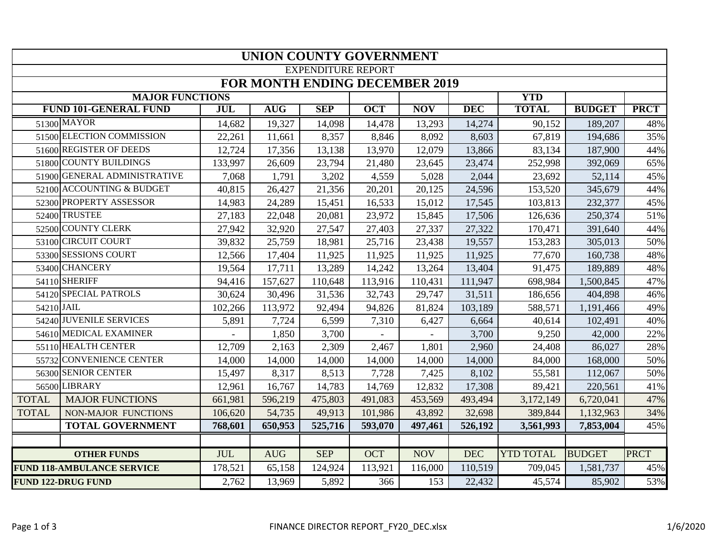|              |                                   |            |            | <b>UNION COUNTY GOVERNMENT</b>        |            |            |            |                  |               |             |
|--------------|-----------------------------------|------------|------------|---------------------------------------|------------|------------|------------|------------------|---------------|-------------|
|              |                                   |            |            | <b>EXPENDITURE REPORT</b>             |            |            |            |                  |               |             |
|              |                                   |            |            | <b>FOR MONTH ENDING DECEMBER 2019</b> |            |            |            |                  |               |             |
|              | <b>MAJOR FUNCTIONS</b>            |            |            |                                       |            |            |            | <b>YTD</b>       |               |             |
|              | <b>FUND 101-GENERAL FUND</b>      | <b>JUL</b> | <b>AUG</b> | <b>SEP</b>                            | <b>OCT</b> | <b>NOV</b> | <b>DEC</b> | <b>TOTAL</b>     | <b>BUDGET</b> | <b>PRCT</b> |
|              | 51300 MAYOR                       | 14,682     | 19,327     | 14,098                                | 14,478     | 13,293     | 14,274     | 90,152           | 189,207       | 48%         |
|              | 51500 ELECTION COMMISSION         | 22,261     | 11,661     | 8,357                                 | 8,846      | 8,092      | 8,603      | 67,819           | 194,686       | 35%         |
|              | 51600 REGISTER OF DEEDS           | 12,724     | 17,356     | 13,138                                | 13,970     | 12,079     | 13,866     | 83,134           | 187,900       | 44%         |
|              | 51800 COUNTY BUILDINGS            | 133,997    | 26,609     | 23,794                                | 21,480     | 23,645     | 23,474     | 252,998          | 392,069       | 65%         |
|              | 51900 GENERAL ADMINISTRATIVE      | 7,068      | 1,791      | 3,202                                 | 4,559      | 5,028      | 2,044      | 23,692           | 52,114        | 45%         |
|              | 52100 ACCOUNTING & BUDGET         | 40,815     | 26,427     | 21,356                                | 20,201     | 20,125     | 24,596     | 153,520          | 345,679       | 44%         |
|              | 52300 PROPERTY ASSESSOR           | 14,983     | 24,289     | 15,451                                | 16,533     | 15,012     | 17,545     | 103,813          | 232,377       | 45%         |
|              | 52400 TRUSTEE                     | 27,183     | 22,048     | 20,081                                | 23,972     | 15,845     | 17,506     | 126,636          | 250,374       | 51%         |
|              | 52500 COUNTY CLERK                | 27,942     | 32,920     | 27,547                                | 27,403     | 27,337     | 27,322     | 170,471          | 391,640       | 44%         |
|              | 53100 CIRCUIT COURT               | 39,832     | 25,759     | 18,981                                | 25,716     | 23,438     | 19,557     | 153,283          | 305,013       | 50%         |
|              | 53300 SESSIONS COURT              | 12,566     | 17,404     | 11,925                                | 11,925     | 11,925     | 11,925     | 77,670           | 160,738       | 48%         |
|              | 53400 CHANCERY                    | 19,564     | 17,711     | 13,289                                | 14,242     | 13,264     | 13,404     | 91,475           | 189,889       | 48%         |
|              | 54110 SHERIFF                     | 94,416     | 157,627    | 110,648                               | 113,916    | 110,431    | 111,947    | 698,984          | 1,500,845     | 47%         |
|              | 54120 SPECIAL PATROLS             | 30,624     | 30,496     | 31,536                                | 32,743     | 29,747     | 31,511     | 186,656          | 404,898       | 46%         |
| 54210 JAIL   |                                   | 102,266    | 113,972    | 92,494                                | 94,826     | 81,824     | 103,189    | 588,571          | 1,191,466     | 49%         |
|              | 54240 JUVENILE SERVICES           | 5,891      | 7,724      | 6,599                                 | 7,310      | 6,427      | 6,664      | 40,614           | 102,491       | 40%         |
|              | 54610 MEDICAL EXAMINER            |            | 1,850      | 3,700                                 |            |            | 3,700      | 9,250            | 42,000        | 22%         |
|              | 55110 HEALTH CENTER               | 12,709     | 2,163      | 2,309                                 | 2,467      | 1,801      | 2,960      | 24,408           | 86,027        | 28%         |
|              | 55732 CONVENIENCE CENTER          | 14,000     | 14,000     | 14,000                                | 14,000     | 14,000     | 14,000     | 84,000           | 168,000       | 50%         |
|              | 56300 SENIOR CENTER               | 15,497     | 8,317      | 8,513                                 | 7,728      | 7,425      | 8,102      | 55,581           | 112,067       | 50%         |
|              | 56500 LIBRARY                     | 12,961     | 16,767     | 14,783                                | 14,769     | 12,832     | 17,308     | 89,421           | 220,561       | 41%         |
| <b>TOTAL</b> | <b>MAJOR FUNCTIONS</b>            | 661,981    | 596,219    | 475,803                               | 491,083    | 453,569    | 493,494    | 3,172,149        | 6,720,041     | 47%         |
| <b>TOTAL</b> | <b>NON-MAJOR FUNCTIONS</b>        | 106,620    | 54,735     | 49,913                                | 101,986    | 43,892     | 32,698     | 389,844          | 1,132,963     | 34%         |
|              | <b>TOTAL GOVERNMENT</b>           | 768,601    | 650,953    | 525,716                               | 593,070    | 497,461    | 526,192    | 3,561,993        | 7,853,004     | 45%         |
|              |                                   |            |            |                                       |            |            |            |                  |               |             |
|              | <b>OTHER FUNDS</b>                | <b>JUL</b> | <b>AUG</b> | <b>SEP</b>                            | <b>OCT</b> | <b>NOV</b> | <b>DEC</b> | <b>YTD TOTAL</b> | <b>BUDGET</b> | <b>PRCT</b> |
|              | <b>FUND 118-AMBULANCE SERVICE</b> | 178,521    | 65,158     | 124,924                               | 113,921    | 116,000    | 110,519    | 709,045          | 1,581,737     | 45%         |
|              | <b>FUND 122-DRUG FUND</b>         | 2,762      | 13,969     | 5,892                                 | 366        | 153        | 22,432     | 45,574           | 85,902        | 53%         |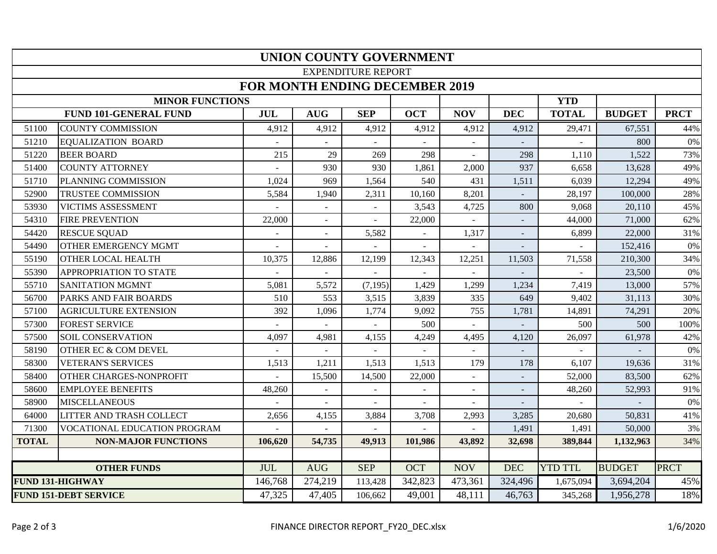|              |                                 |                                       |                | <b>UNION COUNTY GOVERNMENT</b> |                |                          |                |                |               |             |
|--------------|---------------------------------|---------------------------------------|----------------|--------------------------------|----------------|--------------------------|----------------|----------------|---------------|-------------|
|              |                                 |                                       |                | <b>EXPENDITURE REPORT</b>      |                |                          |                |                |               |             |
|              |                                 | <b>FOR MONTH ENDING DECEMBER 2019</b> |                |                                |                |                          |                |                |               |             |
|              | <b>MINOR FUNCTIONS</b>          |                                       |                |                                |                |                          |                | <b>YTD</b>     |               |             |
|              | <b>FUND 101-GENERAL FUND</b>    | <b>JUL</b>                            | <b>AUG</b>     | <b>SEP</b>                     | <b>OCT</b>     | <b>NOV</b>               | <b>DEC</b>     | <b>TOTAL</b>   | <b>BUDGET</b> | <b>PRCT</b> |
| 51100        | <b>COUNTY COMMISSION</b>        | 4,912                                 | 4,912          | 4,912                          | 4,912          | 4,912                    | 4,912          | 29,471         | 67,551        | 44%         |
| 51210        | <b>EQUALIZATION BOARD</b>       |                                       |                |                                |                |                          |                |                | 800           | 0%          |
| 51220        | <b>BEER BOARD</b>               | 215                                   | 29             | 269                            | 298            |                          | 298            | 1,110          | 1,522         | 73%         |
| 51400        | <b>COUNTY ATTORNEY</b>          |                                       | 930            | 930                            | 1,861          | 2,000                    | 937            | 6,658          | 13,628        | 49%         |
| 51710        | PLANNING COMMISSION             | 1,024                                 | 969            | 1,564                          | 540            | 431                      | 1,511          | 6,039          | 12,294        | 49%         |
| 52900        | TRUSTEE COMMISSION              | 5,584                                 | 1,940          | 2,311                          | 10,160         | 8,201                    |                | 28,197         | 100,000       | 28%         |
| 53930        | VICTIMS ASSESSMENT              | $\blacksquare$                        | $\blacksquare$ |                                | 3,543          | 4,725                    | 800            | 9,068          | 20.110        | 45%         |
| 54310        | <b>FIRE PREVENTION</b>          | 22,000                                | $\blacksquare$ | $\blacksquare$                 | 22,000         | ÷.                       |                | 44,000         | 71,000        | 62%         |
| 54420        | <b>RESCUE SQUAD</b>             |                                       | ÷.             | 5,582                          | $\sim$         | 1,317                    |                | 6,899          | 22,000        | 31%         |
| 54490        | <b>OTHER EMERGENCY MGMT</b>     |                                       | $\overline{a}$ |                                | $\sim$         | ÷.                       |                |                | 152,416       | 0%          |
| 55190        | <b>OTHER LOCAL HEALTH</b>       | 10,375                                | 12,886         | 12,199                         | 12,343         | 12,251                   | 11,503         | 71,558         | 210,300       | 34%         |
| 55390        | <b>APPROPRIATION TO STATE</b>   |                                       |                |                                |                |                          |                |                | 23,500        | 0%          |
| 55710        | <b>SANITATION MGMNT</b>         | 5,081                                 | 5,572          | (7, 195)                       | 1,429          | 1,299                    | 1,234          | 7,419          | 13,000        | 57%         |
| 56700        | PARKS AND FAIR BOARDS           | 510                                   | 553            | 3,515                          | 3,839          | 335                      | 649            | 9,402          | 31,113        | 30%         |
| 57100        | <b>AGRICULTURE EXTENSION</b>    | 392                                   | 1,096          | 1,774                          | 9,092          | 755                      | 1,781          | 14,891         | 74,291        | 20%         |
| 57300        | <b>FOREST SERVICE</b>           | $\sim$                                |                |                                | 500            | $\sim$                   |                | 500            | 500           | 100%        |
| 57500        | <b>SOIL CONSERVATION</b>        | 4,097                                 | 4,981          | 4,155                          | 4,249          | 4,495                    | 4,120          | 26,097         | 61,978        | 42%         |
| 58190        | <b>OTHER EC &amp; COM DEVEL</b> |                                       |                |                                |                |                          |                |                |               | $0\%$       |
| 58300        | <b>VETERAN'S SERVICES</b>       | 1,513                                 | 1,211          | 1,513                          | 1,513          | 179                      | 178            | 6,107          | 19,636        | 31%         |
| 58400        | <b>OTHER CHARGES-NONPROFIT</b>  |                                       | 15,500         | 14,500                         | 22,000         | $\sim$                   | $\sim$         | 52,000         | 83,500        | 62%         |
| 58600        | <b>EMPLOYEE BENEFITS</b>        | 48,260                                | ÷.             | $\blacksquare$                 |                | ÷.                       | $\blacksquare$ | 48,260         | 52,993        | 91%         |
| 58900        | <b>MISCELLANEOUS</b>            |                                       |                |                                |                |                          |                |                |               | $0\%$       |
| 64000        | LITTER AND TRASH COLLECT        | 2,656                                 | 4,155          | 3,884                          | 3,708          | 2,993                    | 3,285          | 20,680         | 50,831        | 41%         |
| 71300        | VOCATIONAL EDUCATION PROGRAM    |                                       |                | $\blacksquare$                 | $\blacksquare$ | $\overline{\phantom{a}}$ | 1,491          | 1,491          | 50,000        | $3\%$       |
| <b>TOTAL</b> | <b>NON-MAJOR FUNCTIONS</b>      | 106,620                               | 54,735         | 49,913                         | 101,986        | 43,892                   | 32,698         | 389,844        | 1,132,963     | 34%         |
|              |                                 |                                       |                |                                |                |                          |                |                |               |             |
|              | <b>OTHER FUNDS</b>              | <b>JUL</b>                            | <b>AUG</b>     | <b>SEP</b>                     | <b>OCT</b>     | <b>NOV</b>               | <b>DEC</b>     | <b>YTD TTL</b> | <b>BUDGET</b> | <b>PRCT</b> |
|              | <b>FUND 131-HIGHWAY</b>         | 146,768                               | 274,219        | 113,428                        | 342,823        | 473,361                  | 324,496        | 1,675,094      | 3,694,204     | 45%         |
|              | <b>FUND 151-DEBT SERVICE</b>    | 47,325                                | 47,405         | 106,662                        | 49,001         | 48,111                   | 46,763         | 345,268        | 1,956,278     | 18%         |